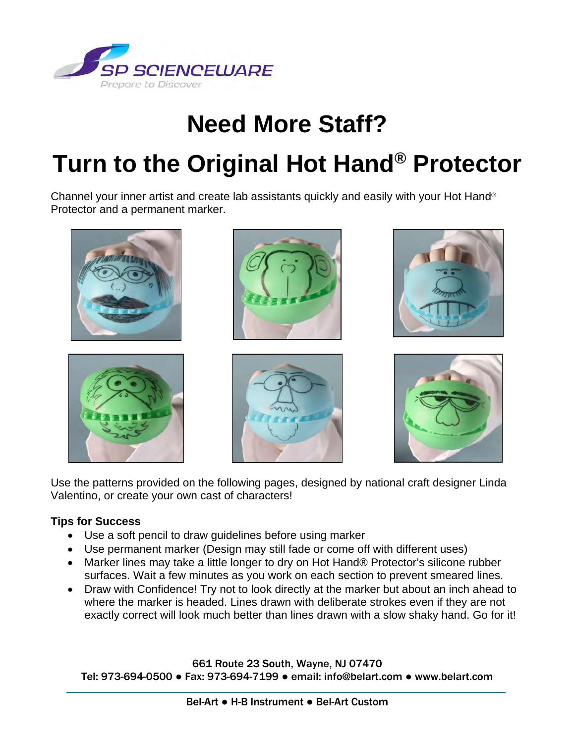

## **Need More Staff?**

## **Turn to the Original Hot Hand® Protector**

Channel your inner artist and create lab assistants quickly and easily with your Hot Hand® Protector and a permanent marker.



Use the patterns provided on the following pages, designed by national craft designer Linda Valentino, or create your own cast of characters!

## **Tips for Success**

- Use a soft pencil to draw guidelines before using marker
- Use permanent marker (Design may still fade or come off with different uses)
- Marker lines may take a little longer to dry on Hot Hand® Protector's silicone rubber surfaces. Wait a few minutes as you work on each section to prevent smeared lines.
- Draw with Confidence! Try not to look directly at the marker but about an inch ahead to where the marker is headed. Lines drawn with deliberate strokes even if they are not exactly correct will look much better than lines drawn with a slow shaky hand. Go for it!

661 Route 23 South, Wayne, NJ 07470 Tel: 973-694-0500 ● Fax: 973-694-7199 ● email: info@belart.com ● www.belart.com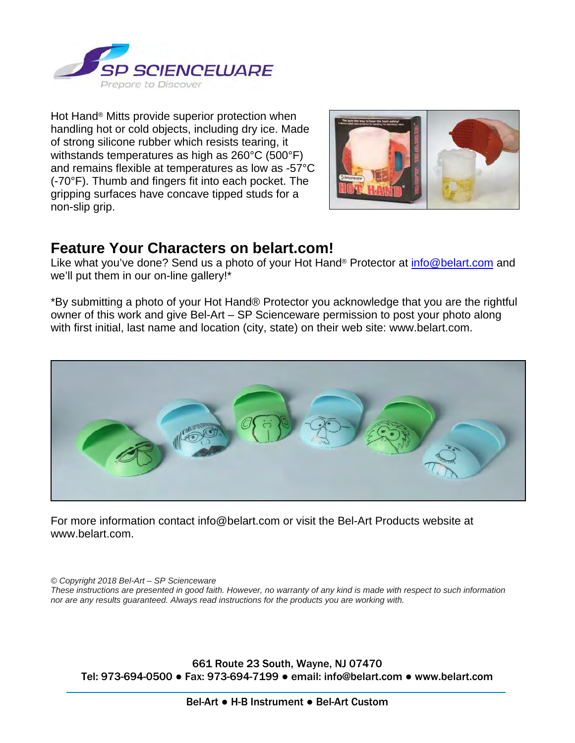

Hot Hand® Mitts provide superior protection when handling hot or cold objects, including dry ice. Made of strong silicone rubber which resists tearing, it withstands temperatures as high as 260°C (500°F) and remains flexible at temperatures as low as -57°C (-70°F). Thumb and fingers fit into each pocket. The gripping surfaces have concave tipped studs for a non-slip grip.



## **Feature Your Characters on belart.com!**

Like what you've done? Send us a photo of your Hot Hand® Protector at info@belart.com and we'll put them in our on-line gallery!\*

\*By submitting a photo of your Hot Hand® Protector you acknowledge that you are the rightful owner of this work and give Bel-Art – SP Scienceware permission to post your photo along with first initial, last name and location (city, state) on their web site: www.belart.com.



For more information contact info@belart.com or visit the Bel-Art Products website at www.belart.com.

*© Copyright 2018 Bel-Art – SP Scienceware*

*These instructions are presented in good faith. However, no warranty of any kind is made with respect to such information nor are any results guaranteed. Always read instructions for the products you are working with.*

661 Route 23 South, Wayne, NJ 07470 Tel: 973-694-0500 ● Fax: 973-694-7199 ● email: info@belart.com ● www.belart.com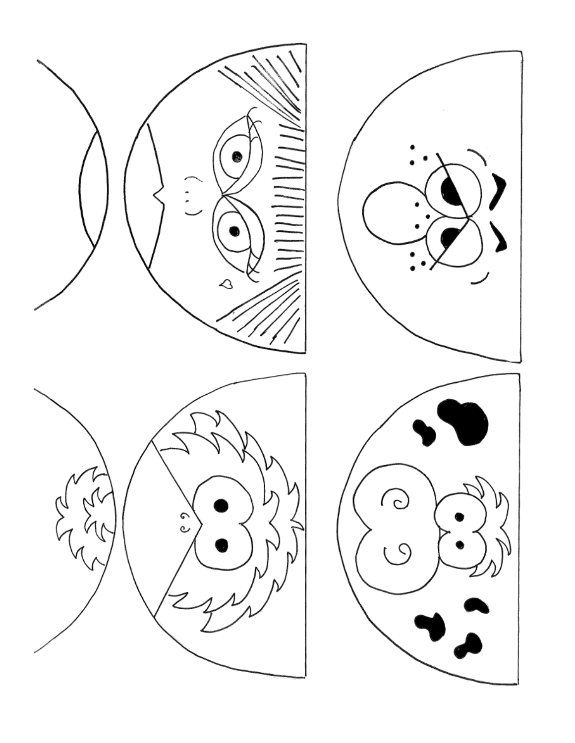